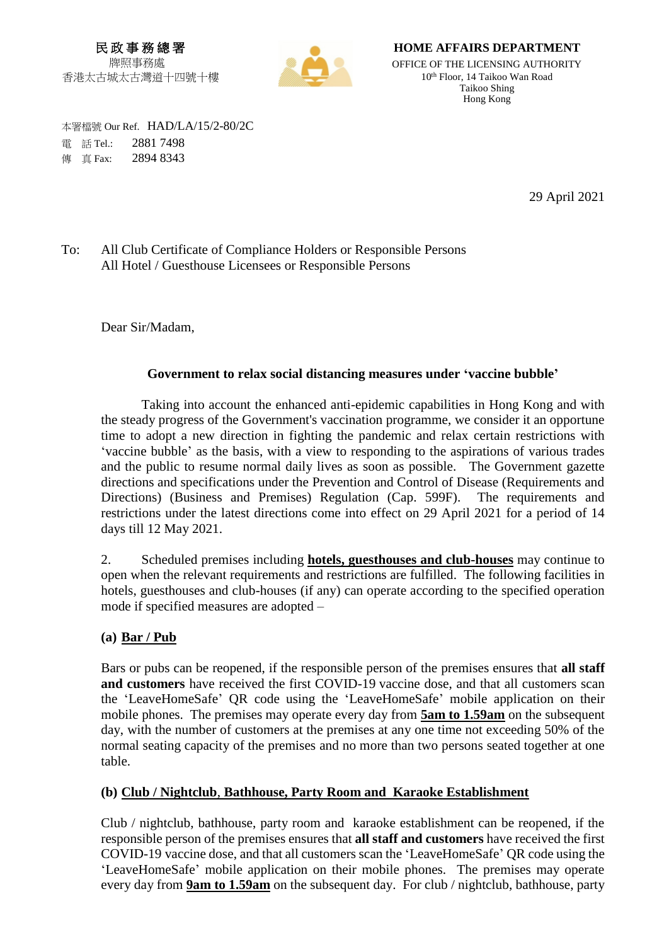民 政 事 務 總 署 牌照事務處 香港太古城太古灣道十四號十樓



**HOME AFFAIRS DEPARTMENT**

OFFICE OF THE LICENSING AUTHORITY 10 th Floor, 14 Taikoo Wan Road Taikoo Shing Hong Kong

 本署檔號 Our Ref. HAD/LA/15/2-80/2C 電 話 Tel.: 2881 7498 **傳 直 Fax: 2894 8343** 

29 April 2021

## To: All Club Certificate of Compliance Holders or Responsible Persons All Hotel / Guesthouse Licensees or Responsible Persons

Dear Sir/Madam,

#### **Government to relax social distancing measures under 'vaccine bubble'**

Taking into account the enhanced anti-epidemic capabilities in Hong Kong and with the steady progress of the Government's vaccination programme, we consider it an opportune time to adopt a new direction in fighting the pandemic and relax certain restrictions with 'vaccine bubble' as the basis, with a view to responding to the aspirations of various trades and the public to resume normal daily lives as soon as possible. The Government gazette directions and specifications under the Prevention and Control of Disease (Requirements and Directions) (Business and Premises) Regulation (Cap. 599F). The requirements and restrictions under the latest directions come into effect on 29 April 2021 for a period of 14 days till 12 May 2021.

2. Scheduled premises including **hotels, guesthouses and club-houses** may continue to open when the relevant requirements and restrictions are fulfilled. The following facilities in hotels, guesthouses and club-houses (if any) can operate according to the specified operation mode if specified measures are adopted –

#### **(a) Bar / Pub**

Bars or pubs can be reopened, if the responsible person of the premises ensures that **all staff and customers** have received the first COVID-19 vaccine dose, and that all customers scan the 'LeaveHomeSafe' QR code using the 'LeaveHomeSafe' mobile application on their mobile phones. The premises may operate every day from **5am to 1.59am** on the subsequent day, with the number of customers at the premises at any one time not exceeding 50% of the normal seating capacity of the premises and no more than two persons seated together at one table.

## **(b) Club / Nightclub**, **Bathhouse, Party Room and Karaoke Establishment**

Club / nightclub, bathhouse, party room and karaoke establishment can be reopened, if the responsible person of the premises ensures that **all staff and customers** have received the first COVID-19 vaccine dose, and that all customers scan the 'LeaveHomeSafe' QR code using the 'LeaveHomeSafe' mobile application on their mobile phones. The premises may operate every day from **9am to 1.59am** on the subsequent day. For club / nightclub, bathhouse, party